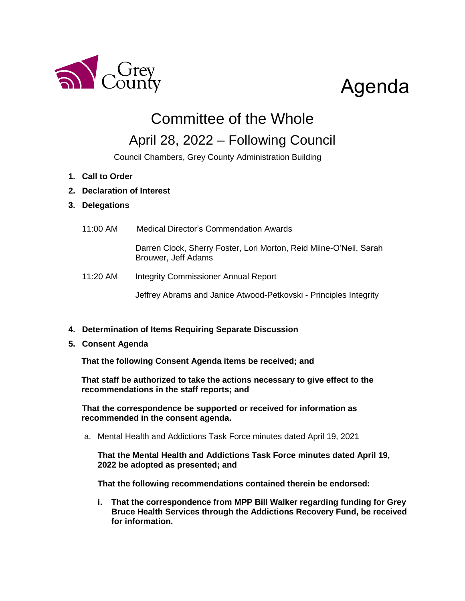

# Agenda

## Committee of the Whole

### April 28, 2022 – Following Council

Council Chambers, Grey County Administration Building

- **1. Call to Order**
- **2. Declaration of Interest**

### **3. Delegations**

11:00 AM Medical Director's Commendation Awards

Darren Clock, Sherry Foster, Lori Morton, Reid Milne-O'Neil, Sarah Brouwer, Jeff Adams

11:20 AM Integrity Commissioner Annual Report

Jeffrey Abrams and Janice Atwood-Petkovski - Principles Integrity

- **4. Determination of Items Requiring Separate Discussion**
- **5. Consent Agenda**

**That the following Consent Agenda items be received; and**

**That staff be authorized to take the actions necessary to give effect to the recommendations in the staff reports; and**

**That the correspondence be supported or received for information as recommended in the consent agenda.**

a. Mental Health and Addictions Task Force minutes dated April 19, 2021

**That the Mental Health and Addictions Task Force minutes dated April 19, 2022 be adopted as presented; and**

**That the following recommendations contained therein be endorsed:**

**i. That the correspondence from MPP Bill Walker regarding funding for Grey Bruce Health Services through the Addictions Recovery Fund, be received for information.**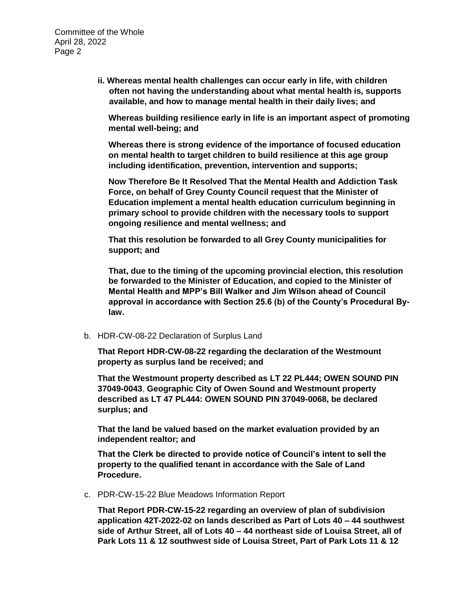**ii. Whereas mental health challenges can occur early in life, with children often not having the understanding about what mental health is, supports available, and how to manage mental health in their daily lives; and**

**Whereas building resilience early in life is an important aspect of promoting mental well-being; and**

**Whereas there is strong evidence of the importance of focused education on mental health to target children to build resilience at this age group including identification, prevention, intervention and supports;**

**Now Therefore Be It Resolved That the Mental Health and Addiction Task Force, on behalf of Grey County Council request that the Minister of Education implement a mental health education curriculum beginning in primary school to provide children with the necessary tools to support ongoing resilience and mental wellness; and**

**That this resolution be forwarded to all Grey County municipalities for support; and**

**That, due to the timing of the upcoming provincial election, this resolution be forwarded to the Minister of Education, and copied to the Minister of Mental Health and MPP's Bill Walker and Jim Wilson ahead of Council approval in accordance with Section 25.6 (b) of the County's Procedural Bylaw.** 

b. HDR-CW-08-22 Declaration of Surplus Land

**That Report HDR-CW-08-22 regarding the declaration of the Westmount property as surplus land be received; and**

**That the Westmount property described as LT 22 PL444; OWEN SOUND PIN 37049-0043**, **Geographic City of Owen Sound and Westmount property described as LT 47 PL444: OWEN SOUND PIN 37049-0068, be declared surplus; and**

**That the land be valued based on the market evaluation provided by an independent realtor; and**

**That the Clerk be directed to provide notice of Council's intent to sell the property to the qualified tenant in accordance with the Sale of Land Procedure.** 

c. PDR-CW-15-22 Blue Meadows Information Report

**That Report PDR-CW-15-22 regarding an overview of plan of subdivision application 42T-2022-02 on lands described as Part of Lots 40 – 44 southwest side of Arthur Street, all of Lots 40 – 44 northeast side of Louisa Street, all of Park Lots 11 & 12 southwest side of Louisa Street, Part of Park Lots 11 & 12**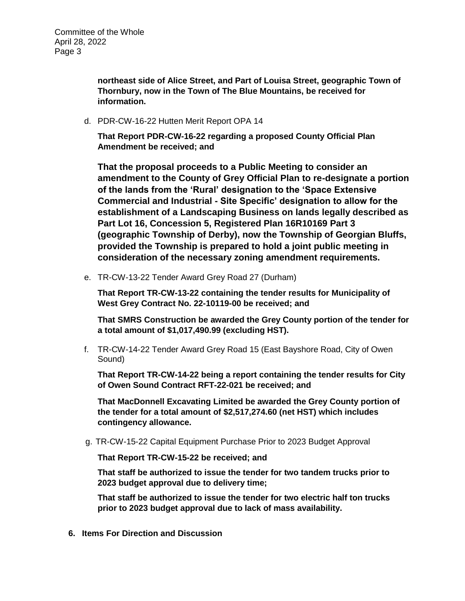**northeast side of Alice Street, and Part of Louisa Street, geographic Town of Thornbury, now in the Town of The Blue Mountains, be received for information.** 

d. PDR-CW-16-22 Hutten Merit Report OPA 14

**That Report PDR-CW-16-22 regarding a proposed County Official Plan Amendment be received; and**

**That the proposal proceeds to a Public Meeting to consider an amendment to the County of Grey Official Plan to re-designate a portion of the lands from the 'Rural' designation to the 'Space Extensive Commercial and Industrial - Site Specific' designation to allow for the establishment of a Landscaping Business on lands legally described as Part Lot 16, Concession 5, Registered Plan 16R10169 Part 3 (geographic Township of Derby), now the Township of Georgian Bluffs, provided the Township is prepared to hold a joint public meeting in consideration of the necessary zoning amendment requirements.** 

e. TR-CW-13-22 Tender Award Grey Road 27 (Durham)

**That Report TR-CW-13-22 containing the tender results for Municipality of West Grey Contract No. 22-10119-00 be received; and**

**That SMRS Construction be awarded the Grey County portion of the tender for a total amount of \$1,017,490.99 (excluding HST).**

f. TR-CW-14-22 Tender Award Grey Road 15 (East Bayshore Road, City of Owen Sound)

**That Report TR-CW-14-22 being a report containing the tender results for City of Owen Sound Contract RFT-22-021 be received; and**

**That MacDonnell Excavating Limited be awarded the Grey County portion of the tender for a total amount of \$2,517,274.60 (net HST) which includes contingency allowance.**

g. TR-CW-15-22 Capital Equipment Purchase Prior to 2023 Budget Approval

**That Report TR-CW-15-22 be received; and**

**That staff be authorized to issue the tender for two tandem trucks prior to 2023 budget approval due to delivery time;**

**That staff be authorized to issue the tender for two electric half ton trucks prior to 2023 budget approval due to lack of mass availability.**

**6. Items For Direction and Discussion**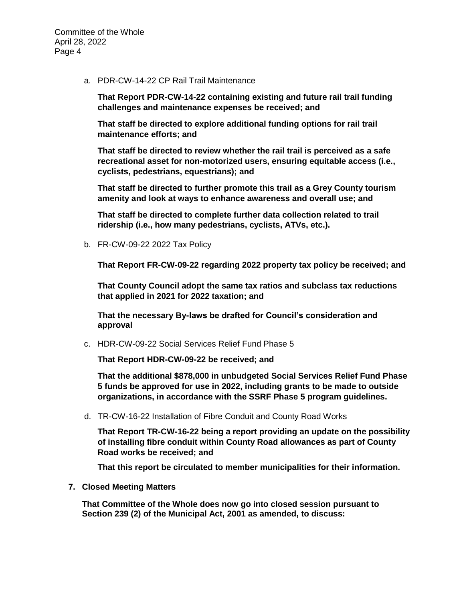a. PDR-CW-14-22 CP Rail Trail Maintenance

**That Report PDR-CW-14-22 containing existing and future rail trail funding challenges and maintenance expenses be received; and**

**That staff be directed to explore additional funding options for rail trail maintenance efforts; and** 

**That staff be directed to review whether the rail trail is perceived as a safe recreational asset for non-motorized users, ensuring equitable access (i.e., cyclists, pedestrians, equestrians); and**

**That staff be directed to further promote this trail as a Grey County tourism amenity and look at ways to enhance awareness and overall use; and** 

**That staff be directed to complete further data collection related to trail ridership (i.e., how many pedestrians, cyclists, ATVs, etc.).** 

b. FR-CW-09-22 2022 Tax Policy

**That Report FR-CW-09-22 regarding 2022 property tax policy be received; and**

**That County Council adopt the same tax ratios and subclass tax reductions that applied in 2021 for 2022 taxation; and**

**That the necessary By-laws be drafted for Council's consideration and approval**

c. HDR-CW-09-22 Social Services Relief Fund Phase 5

**That Report HDR-CW-09-22 be received; and**

**That the additional \$878,000 in unbudgeted Social Services Relief Fund Phase 5 funds be approved for use in 2022, including grants to be made to outside organizations, in accordance with the SSRF Phase 5 program guidelines.**

d. TR-CW-16-22 Installation of Fibre Conduit and County Road Works

**That Report TR-CW-16-22 being a report providing an update on the possibility of installing fibre conduit within County Road allowances as part of County Road works be received; and**

**That this report be circulated to member municipalities for their information.**

#### **7. Closed Meeting Matters**

**That Committee of the Whole does now go into closed session pursuant to Section 239 (2) of the Municipal Act, 2001 as amended, to discuss:**